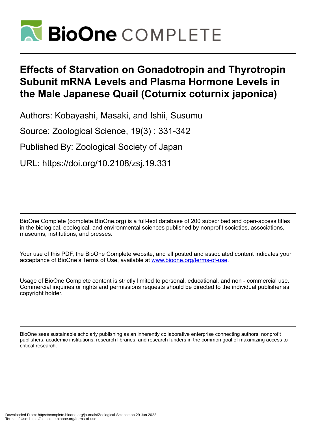

# **Effects of Starvation on Gonadotropin and Thyrotropin Subunit mRNA Levels and Plasma Hormone Levels in the Male Japanese Quail (Coturnix coturnix japonica)**

Authors: Kobayashi, Masaki, and Ishii, Susumu

Source: Zoological Science, 19(3) : 331-342

Published By: Zoological Society of Japan

URL: https://doi.org/10.2108/zsj.19.331

BioOne Complete (complete.BioOne.org) is a full-text database of 200 subscribed and open-access titles in the biological, ecological, and environmental sciences published by nonprofit societies, associations, museums, institutions, and presses.

Your use of this PDF, the BioOne Complete website, and all posted and associated content indicates your acceptance of BioOne's Terms of Use, available at www.bioone.org/terms-of-use.

Usage of BioOne Complete content is strictly limited to personal, educational, and non - commercial use. Commercial inquiries or rights and permissions requests should be directed to the individual publisher as copyright holder.

BioOne sees sustainable scholarly publishing as an inherently collaborative enterprise connecting authors, nonprofit publishers, academic institutions, research libraries, and research funders in the common goal of maximizing access to critical research.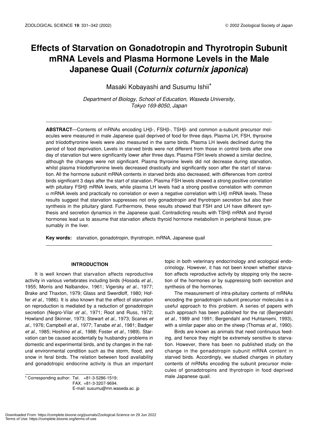# **Effects of Starvation on Gonadotropin and Thyrotropin Subunit mRNA Levels and Plasma Hormone Levels in the Male Japanese Quail (***Coturnix coturnix japonica***)**

Masaki Kobayashi and Susumu Ishii\*

*Department of Biology, School of Education, Waseda University, Tokyo 169-8050, Japan*

**ABSTRACT**—Contents of mRNAs encoding LHβ-, FSHβ-, TSHβ- and common a-subunit precursor molecules were measured in male Japanese quail deprived of food for three days. Plasma LH, FSH, thyroxine and triiodothyronine levels were also measured in the same birds. Plasma LH levels declined during the period of food deprivation. Levels in starved birds were not different from those in control birds after one day of starvation but were significantly lower after three days. Plasma FSH levels showed a similar decline, although the changes were not significant. Plasma thyroxine levels did not decrease during starvation, whilst plasma triiodothyronine levels decreased drastically and significantly soon after the start of starvation. All the hormone subunit mRNA contents in starved birds also decreased, with differences from control birds significant 3 days after the start of starvation. Plasma FSH levels showed a strong positive correlation with pituitary FSHβ mRNA levels, while plasma LH levels had a strong positive correlation with common α mRNA levels and practically no correlation or even a negative correlation with LHβ mRNA levels. These results suggest that starvation suppresses not only gonadotropin and thyrotropin secretion but also their synthesis in the pituitary gland. Furthermore, these results showed that FSH and LH have different synthesis and secretion dynamics in the Japanese quail. Contradicting results with TSHβ mRNA and thyroid hormones lead us to assume that starvation affects thyroid hormone metabolism in peripheral tissue, presumably in the liver.

**Key words:** starvation, gonadotropin, thyrotropin, mRNA, Japanese quail

# **INTRODUCTION**

It is well known that starvation affects reproductive activity in various vertebrates including birds (Hosoda *et al*., 1955; Morris and Nalbandov, 1961; Vigersky *et al*., 1977; Brake and Thaxton, 1979; Glass and Swerdloff, 1980; Hoffer *et al*., 1986). It is also known that the effect of starvation on reproduction is mediated by a reduction of gonadotropin secretion (Negro-Vilar *et al*., 1971; Root and Russ, 1972; Howland and Skinner, 1973; Stewart *et al*., 1973; Scanes *et al*., 1976; Campbell *et al*., 1977; Tanabe *et al*., 1981; Badger *et al*., 1985; Hoshino *et al*., 1988; Foster *et al*., 1989). Starvation can be caused accidentally by husbandry problems in domestic and experimental birds, and by changes in the natural environmental condition such as the storm, flood, and snow in feral birds. The relation between food availability and gonadotropic endocrine activity is thus an important

\* Corresponding author: Tel. +81-3-5286-1519;<br>\* Corresponding author: Tel. +81-3-5286-1519; FAX. +81-3-3207-9694. E-mail: susumu@mn.waseda.ac. jp

topic in both veterinary endocrinology and ecological endocrinology. However, it has not been known whether starvation affects reproductive activity by stopping only the secretion of the hormones or by suppressing both secretion and synthesis of the hormones.

The measurement of intra-pituitary contents of mRNAs encoding the gonadotropin subunit precursor molecules is a useful approach to this problem. A series of papers with such approach has been published for the rat (Bergendahl *et al*., 1989 and 1991; Bergendahl and Huhtaniemi, 1993), with a similar paper also on the sheep (Thomas *et al*., 1990).

Birds are known as animals that need continuous feeding, and hence they might be extremely sensitive to starvation. However, there has been no published study on the change in the gonadotropin subunit mRNA content in starved birds. Accordingly, we studied changes in pituitary contents of mRNAs encoding the subunit precursor molecules of gonadotropins and thyrotropin in food deprived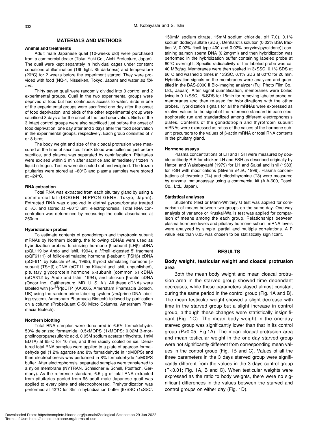### **MATERIALS AND METHODS**

#### **Animal and treatments**

Adult male Japanese quail (10-weeks old) were purchased from a commercial dealer (Tokai Yuki Co., Aichi Prefecture, Japan). The quail were kept separately in individual cages under constant conditions of illumination (16h light: 8h darkness) and temperature (20°C) for 2 weeks before the experiment started. They were provided with food (NQ-1, Nisseiken, Tokyo, Japan) and water *ad libitum*.

Thirty seven quail were randomly divided into 3 control and 2 experimental groups. Quail in the two experimental groups were deprived of food but had continuous access to water. Birds in one of the experimental groups were sacrificed one day after the onset of food deprivation, and birds of the other experimental group were sacrificed 3 days after the onset of the food deprivation. Birds of the 3 intact control groups were also sacrificed just before the onset of food deprivation, one day after and 3 days after the food deprivation in the experimental groups, respectively. Each group consisted of 7 or 8 birds.

The body weight and size of the cloacal protrusion were measured at the time of sacrifice. Trunk blood was collected just before sacrifice, and plasma was separated by centrifugation. Pituitaries were excised within 3 min after sacrifice and immediately frozen in liquid nitrogen. Testes were dissected out and weighed. The frozen pituitaries were stored at –80°C and plasma samples were stored at  $-24$ °C.

#### **RNA extraction**

Total RNA was extracted from each pituitary gland by using a commercial kit (ISOGEN, NIPPON GENE, Tokyo, Japan). Extracted RNA was dissolved in diethyl pyrocarbonate treated dH<sub>2</sub>O, and stored at -80°C until electrophoresis. Total RNA concentration was determined by measuring the optic absorbance at 260nm.

#### **Hybridization probes**

To estimate contents of gonadotropin and thyrotropin subunit mRNAs by Northern blotting, the following cDNAs were used as hybridization probes: luteinizing hormone β-subunit (LHβ) cDNA (pQL119 by Ando and Ishii, 1994), a *Hind*III-digested 5' fragment (pQF6111) of follicle-stimulating hormone β-subunit (FSHβ) cDNA (pQF611 by Kikuchi *et al*., 1998), thyroid stimulating hormone βsubunit (TSHβ) cDNA (pQT11 by Kikuchi and Ishii, unpublished), pituitary glycoprotein hormone α-subunit (common α) cDNA (pQA312 by Ando and Ishii, 1994), and chicken β-actin cDNA (Oncor Inc., Gaithersburg, MD, U. S. A.). All these cDNAs were labeled with [α-<sup>32</sup>P]dCTP (AA0005, Amersham Pharmacia Biotech, UK) using the random prime labeling system (*redi*prime DNA labeling system, Amersham Pharmacia Biotech) followed by purification on a column (ProbeQuant G-50 Micro Columns, Amersham Pharmacia Biotech).

#### **Northern blotting**

Total RNA samples were denatured in 6.5% formaldehyde, 50% deionized formamide, 0.5xMOPS (1xMOPS: 0.02M 3-morpholinopropanesulfonic acid, 0.05M sodium acetate trihydrate, 1mM EDTA) at 65°C for 10 min, and then rapidly cooled on ice. Denatured total RNA samples were applied to a plate of agarose-formaldehyde gel (1.2% agarose and 8% formaldehyde in 1xMOPS) and then electrophoresis was performed in 8% formaldehyde 1xMOPS buffer. After electrophoresis, separated samples were transferred to a nylon membrane (NYTRAN, Schleicher & Schell, Postfach, Germany). As the reference standard, 6.5 µg of total RNA extracted from pituitaries pooled from 65 adult male Japanese quail was applied to every plate and electrophoresed. Prehybridization was performed at 42°C for 3hr in hybridization buffer [6xSSC (1xSSC: 150mM sodium citrate, 15mM sodium chloride, pH 7.0), 0.1% sodium dodecylsulfate (SDS), Denhardt's solution (0.02% BSA fraction V, 0.02% ficoll type 400 and 0.02% poryvinylpyrolidone)] containing salmon sperm DNA (0.2mg/ml) and then hybridization was performed in the hybridization buffer containing labeled probe at 60°C overnight. Specific radioactivity of the labeled probe was ca. 40 MBq/µg. Membranes were then soaked in 3xSSC, 0.1% SDS at 60°C and washed 3 times in 1xSSC, 0.1% SDS at 60°C for 20 min. Hybridization signals on the membranes were analyzed and quantified in the BAS-2000 II Bio-Imaging analyzer (Fuji Photo Film Co., Ltd., Japan). After signal quantification, membranes were boiled twice in 0.1xSSC, 1%SDS for 15min for removing labeled probe on membranes and then re-used for hybridizations with the other probes. Hybridization signals for all the mRNAs were expressed as relative values to the signal of the reference standard in each electrophoretic run and standardized among different electrophoresis plates. Contents of the gonadotropin and thyrotropin subunit mRNAs were expressed as ratios of the values of the hormone subunit precursors to the values of β-actin mRNA or total RNA contents in the pituitary gland.

#### **Hormone assays**

Plasma concentrations of LH and FSH were measured by double-antibody RIA for chicken LH and FSH as described originally by Hattori and Wakabayashi (1979) for LH and Sakai and Ishii (1983) for FSH with modifications (Silverin *et al*., 1999). Plasma concentrations of thyroxine (T4) and triiodothyronine (T3) were measured by enzyme immunoassay using a commercial kit (AIA-600, Tosoh Co., Ltd., Japan).

#### **Statistical analyses**

Student's t-test or Mann-Whitney U test was applied for comparison of means between two groups on the same day. One-way analysis of variance or Kruskal-Wallis test was applied for comparison of means among the each group. Relationships between plasma hormone levels and pituitary hormone subunit mRNA levels were analyzed by simple, partial and multiple correlations. A P value less than 0.05 was chosen to be statistically significant.

#### **RESULTS**

### **Body weight, testicular weight and cloacal protrusion area**

Both the mean body weight and mean cloacal protrusion area in the starved group showed time dependant decreases, while these parameters stayed almost constant during the same period in the control group (Fig. 1A and B). The mean testicular weight showed a slight decrease with time in the starved group but a slight increase in control group, although these changes were statistically insignificant (Fig. 1C). The mean body weight in the one-day starved group was significantly lower than that in its control group (P<0.05; Fig.1A). The mean cloacal protrusion area and mean testicular weight in the one-day starved group were not significantly different from corresponding mean values in the control group (Fig. 1B and C). Values of all the three parameters in the 3 days starved group were significantly different from the values in the 3 days control group (P<0.01; Fig. 1A, B and C). When testicular weights were expressed as the ratio to body weights, there were no significant differences in the values between the starved and control groups on either day (Fig. 1D).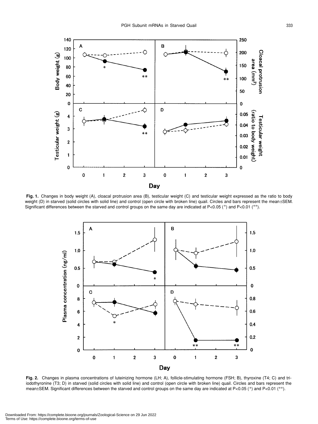

 **Fig. 1.** Changes in body weight (A), cloacal protrusion area (B), testicular weight (C) and testicular weight expressed as the ratio to body weight (D) in starved (solid circles with solid line) and control (open circle with broken line) quail. Circles and bars represent the mean±SEM. Significant differences between the starved and control groups on the same day are indicated at P<0.05 (\*) and P<0.01 (\*\*).



**Fig. 2.** Changes in plasma concentrations of luteinizing hormone (LH; A), follicle-stimulating hormone (FSH; B), thyroxine (T4; C) and triiodothyronine (T3; D) in starved (solid circles with solid line) and control (open circle with broken line) quail. Circles and bars represent the mean±SEM. Significant differences between the starved and control groups on the same day are indicated at P<0.05 (\*) and P<0.01 (\*\*).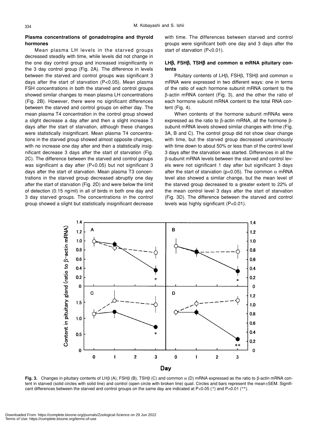# **Plasma concentrations of gonadotropins and thyroid hormones**

Mean plasma LH levels in the starved groups decreased steadily with time, while levels did not change in the one day control group and increased insignificantly in the 3 day control group (Fig. 2A). The difference in levels between the starved and control groups was significant 3 days after the start of starvation (P<0.05). Mean plasma FSH concentrations in both the starved and control groups showed similar changes to mean plasma LH concentrations (Fig. 2B). However, there were no significant differences between the starved and control groups on either day. The mean plasma T4 concentration in the control group showed a slight decrease a day after and then a slight increase 3 days after the start of starvation, although these changes were statistically insignificant. Mean plasma T4 concentrations in the starved group showed almost opposite changes, with no increase one day after and then a statistically insignificant decrease 3 days after the start of starvation (Fig. 2C). The difference between the starved and control groups was significant a day after (P<0.05) but not significant 3 days after the start of starvation. Mean plasma T3 concentrations in the starved group decreased abruptly one day after the start of starvation (Fig. 2D) and were below the limit of detection (0.15 ng/ml) in all of birds in both one day and 3 day starved groups. The concentrations in the control group showed a slight but statistically insignificant decrease with time. The differences between starved and control groups were significant both one day and 3 days after the start of starvation (P<0.01).

# **LH**β**, FSH**β**, TSH**β **and common** α **mRNA pituitary contents**

Pituitary contents of LHβ, FSHβ, TSHβ and common  $\alpha$ mRNA were expressed in two different ways: one in terms of the ratio of each hormone subunit mRNA content to the β-actin mRNA content (Fig. 3), and the other the ratio of each hormone subunit mRNA content to the total RNA content (Fig. 4).

When contents of the hormone subunit mRNAs were expressed as the ratio to β-actin mRNA, all the hormone βsubunit mRNA levels showed similar changes with time (Fig. 3A, B and C). The control group did not show clear change with time, but the starved group decreased unanimously with time down to about 50% or less than of the control level 3 days after the starvation was started. Differences in all the β-subunit mRNA levels between the starved and control levels were not significant 1 day after but significant 3 days after the start of starvation (p<0.05). The common  $\alpha$  mRNA level also showed a similar change, but the mean level of the starved group decreased to a greater extent to 22% of the mean control level 3 days after the start of starvation (Fig. 3D). The difference between the starved and control levels was highly significant (P<0.01).



**Fig. 3.** Changes in pituitary contents of LHβ (A), FSHβ (B), TSHβ (C) and common α (D) mRNA expressed as the ratio to β-actin mRNA content in starved (solid circles with solid line) and control (open circle with broken line) quail. Circles and bars represent the mean±SEM. Significant differences between the starved and control groups on the same day are indicated at P<0.05 (\*) and P<0.01 (\*\*).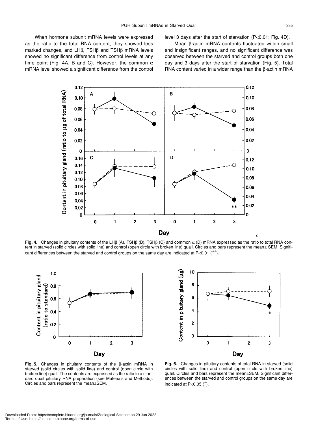When hormone subunit mRNA levels were expressed as the ratio to the total RNA content, they showed less marked changes, and LHβ, FSHβ and TSHβ mRNA levels showed no significant difference from control levels at any time point (Fig. 4A, B and C). However, the common  $\alpha$ mRNA level showed a significant difference from the control level 3 days after the start of starvation (P<0.01; Fig. 4D).

Mean β-actin mRNA contents fluctuated within small and insignificant ranges, and no significant difference was observed between the starved and control groups both one day and 3 days after the start of starvation (Fig. 5). Total RNA content varied in a wider range than the β-actin mRNA



**Fig. 4.** Changes in pituitary contents of the LHβ (A), FSHβ (B), TSHβ (C) and common α (D) mRNA expressed as the ratio to total RNA content in starved (solid circles with solid line) and control (open circle with broken line) quail. Circles and bars represent the mean± SEM. Significant differences between the starved and control groups on the same day are indicated at  $P<0.01$  (\*\*).





**Fig. 5.** Changes in pituitary contents of the β-actin mRNA in starved (solid circles with solid line) and control (open circle with broken line) quail. The contents are expressed as the ratio to a standard quail pituitary RNA preparation (see Materials and Methods). Circles and bars represent the mean±SEM.

**Fig. 6.** Changes in pituitary contents of total RNA in starved (solid circles with solid line) and control (open circle with broken line) quail. Circles and bars represent the mean±SEM. Significant differences between the starved and control groups on the same day are indicated at  $P<0.05$  ( $*$ ).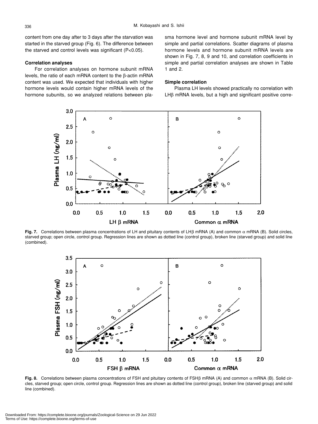content from one day after to 3 days after the starvation was started in the starved group (Fig. 6). The difference between the starved and control levels was significant (P<0.05).

# **Correlation analyses**

For correlation analyses on hormone subunit mRNA levels, the ratio of each mRNA content to the β-actin mRNA content was used. We expected that individuals with higher hormone levels would contain higher mRNA levels of the hormone subunits, so we analyzed relations between plasma hormone level and hormone subunit mRNA level by simple and partial correlations. Scatter diagrams of plasma hormone levels and hormone subunit mRNA levels are shown in Fig. 7, 8, 9 and 10, and correlation coefficients in simple and partial correlation analyses are shown in Table 1 and 2.

# **Simple correlation**

Plasma LH levels showed practically no correlation with LHβ mRNA levels, but a high and significant positive corre-



**Fig. 7.** Correlations between plasma concentrations of LH and pituitary contents of LHβ mRNA (A) and common α mRNA (B). Solid circles, starved group; open circle, control group. Regression lines are shown as dotted line (control group), broken line (starved group) and solid line (combined).



**Fig. 8.** Correlations between plasma concentrations of FSH and pituitary contents of FSHβ mRNA (A) and common α mRNA (B). Solid circles, starved group; open circle, control group. Regression lines are shown as dotted line (control group), broken line (starved group) and solid line (combined).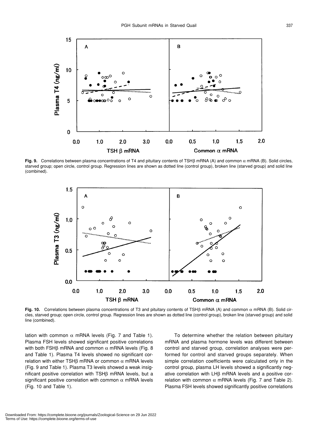

**Fig. 9.** Correlations between plasma concentrations of T4 and pituitary contents of TSHβ mRNA (A) and common α mRNA (B). Solid circles, starved group; open circle, control group. Regression lines are shown as dotted line (control group), broken line (starved group) and solid line (combined).



**Fig. 10.** Correlations between plasma concentrations of T3 and pituitary contents of TSHβ mRNA (A) and common α mRNA (B). Solid circles, starved group; open circle, control group. Regression lines are shown as dotted line (control group), broken line (starved group) and solid line (combined).

lation with common  $\alpha$  mRNA levels (Fig. 7 and Table 1). Plasma FSH levels showed significant positive correlations with both FSH $β$  mRNA and common  $α$  mRNA levels (Fig. 8 and Table 1). Plasma T4 levels showed no significant correlation with either TSH $β$  mRNA or common  $α$  mRNA levels (Fig. 9 and Table 1). Plasma T3 levels showed a weak insignificant positive correlation with TSHβ mRNA levels, but a significant positive correlation with common  $\alpha$  mRNA levels (Fig. 10 and Table 1).

To determine whether the relation between pituitary mRNA and plasma hormone levels was different between control and starved group, correlation analyses were performed for control and starved groups separately. When simple correlation coefficients were calculated only in the control group, plasma LH levels showed a significantly negative correlation with LHβ mRNA levels and a positive correlation with common  $\alpha$  mRNA levels (Fig. 7 and Table 2). Plasma FSH levels showed significantly positive correlations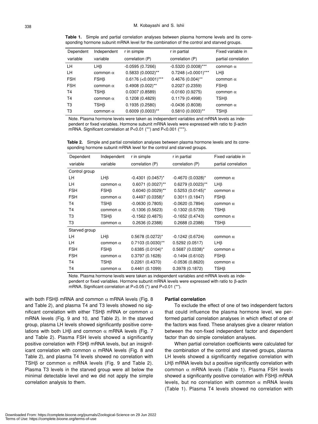| <b>Table 1.</b> Simple and partial correlation analyses between plasma hormone levels and its corre- |  |  |  |  |  |  |
|------------------------------------------------------------------------------------------------------|--|--|--|--|--|--|
| sponding hormone subunit mRNA level for the combination of the control and starved groups.           |  |  |  |  |  |  |

| Dependent  | Independent     | r in simple           | r in partial          | Fixed variable in   |
|------------|-----------------|-----------------------|-----------------------|---------------------|
| variable   | variable        | correlation (P)       | correlation (P)       | partial correlation |
| LH.        | LHß             | $-0.0595(0.7266)$     | $-0.5320(0.0008)$ *** | common $\alpha$     |
| LH.        | common $\alpha$ | 0.5833 (0.0002)**     | $0.7248$ (<0.0001)*** | LH <sub>B</sub>     |
| <b>FSH</b> | $FSH\beta$      | $0.6176$ (<0.0001)*** | $0.4676(0.004)$ **    | common $\alpha$     |
| <b>FSH</b> | common $\alpha$ | $0.4908(0.002)$ **    | 0.2027(0.2359)        | FSHB                |
| <b>T4</b>  | TSHß            | 0.0307(0.8589)        | $-0.0160(0.9275)$     | common $\alpha$     |
| <b>T4</b>  | common $\alpha$ | 0.1208(0.4829)        | 0.1179(0.4998)        | TSHß                |
| T3         | TSHß            | 0.1935(0.2580)        | $-0.0436(0.8038)$     | common $\alpha$     |
| ТЗ         | common $\alpha$ | $0.6009(0.0003)$ **   | $0.5810(0.0003)$ **   | TSHß                |

Note. Plasma hormone levels were taken as independent variables and mRNA levels as independent or fixed variables. Hormone subunit mRNA levels were expressed with ratio to β-actin mRNA. Significant correlation at P<0.01 (\*\*) and P<0.001 (\*\*\*).

**Table 2.** Simple and partial correlation analyses between plasma hormone levels and its corresponding hormone subunit mRNA level for the control and starved groups.

| Dependent      | Independent     | r in simple                     | r in partial         | Fixed variable in   |
|----------------|-----------------|---------------------------------|----------------------|---------------------|
| variable       | variable        | correlation (P)                 | correlation (P)      | partial correlation |
| Control group  |                 |                                 |                      |                     |
| LН             | LH <sub>B</sub> | $-0.4301$ (0.0457) <sup>*</sup> | $-0.4670(0.0328)^*$  | common $\alpha$     |
| LН             | common $\alpha$ | 0.6071 (0.0027)**               | 0.6279 (0.0023)**    | LΗβ                 |
| <b>FSH</b>     | $FSH\beta$      | 0.6040 (0.0029)**               | $0.5253(0.0145)^{*}$ | common $\alpha$     |
| <b>FSH</b>     | common $\alpha$ | $0.4497(0.0358)^{*}$            | 0.3011(0.1847)       | $FSH\beta$          |
| T <sub>4</sub> | TSHß            | $-0.0630(0.7805)$               | $-0.0620(0.7894)$    | common $\alpha$     |
| T4             | common $\alpha$ | $-0.1306(0.5623)$               | $-0.1302(0.5739)$    | TSHß                |
| T3             | TSHB            | $-0.1562(0.4875)$               | $-0.1652(0.4743)$    | common $\alpha$     |
| T <sub>3</sub> | common $\alpha$ | 0.2636(0.2388)                  | 0.2688(0.2388)       | $TSH\beta$          |
| Starved group  |                 |                                 |                      |                     |
| LН             | LH <sub>B</sub> | $0.5678(0.0272)^{*}$            | $-0.1242(0.6724)$    | common $\alpha$     |
| LH             | common $\alpha$ | $0.7103(0.0030)$ **             | 0.5292(0.0517)       | LΗβ                 |
| <b>FSH</b>     | $FSH\beta$      | $0.6385(0.0104)^{*}$            | $0.5687(0.0338)^*$   | common $\alpha$     |
| <b>FSH</b>     | common $\alpha$ | 0.3797(0.1628)                  | $-0.1494(0.6102)$    | $FSH\beta$          |
| T4             | TSHB            | 0.2261(0.4370)                  | $-0.0536(0.8620)$    | common $\alpha$     |
| T <sub>4</sub> | common $\alpha$ | 0.4461(0.1099)                  | 0.3978(0.1872)       | TSHβ                |

Note. Plasma hormone levels were taken as independent variables and mRNA levels as independent or fixed variables. Hormone subunit mRNA levels were expressed with ratio to β-actin mRNA. Significant correlation at P<0.05 (\*) and P<0.01 (\*\*).

with both FSHβ mRNA and common  $α$  mRNA levels (Fig. 8 and Table 2), and plasma T4 and T3 levels showed no significant correlation with either TSHβ mRNA or common  $α$ mRNA levels (Fig. 9 and 10, and Table 2). In the starved group, plasma LH levels showed significantly positive correlations with both LHβ and common  $\alpha$  mRNA levels (Fig. 7 and Table 2). Plasma FSH levels showed a significantly positive correlation with FSHβ mRNA levels, but an insignificant correlation with common  $\alpha$  mRNA levels (Fig. 8 and Table 2), and plasma T4 levels showed no correlation with TSH $\beta$  or common  $\alpha$  mRNA levels (Fig. 9 and Table 2). Plasma T3 levels in the starved group were all below the minimal detectable level and we did not apply the simple correlation analysis to them.

# **Partial correlation**

To exclude the effect of one of two independent factors that could influence the plasma hormone level, we performed partial correlation analyses in which effect of one of the factors was fixed. These analyses give a clearer relation between the non-fixed independent factor and dependent factor than do simple correlation analyses.

When partial correlation coefficients were calculated for the combination of the control and starved groups, plasma LH levels showed a significantly negative correlation with LHβ mRNA levels but a positive significantly correlation with common α mRNA levels (Table 1). Plasma FSH levels showed a significantly positive correlation with FSHβ mRNA levels, but no correlation with common  $\alpha$  mRNA levels (Table 1). Plasma T4 levels showed no correlation with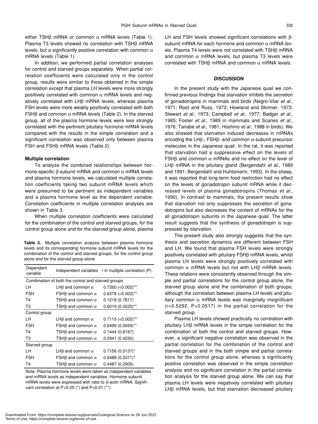either TSH $\beta$  mRNA or common  $\alpha$  mRNA levels (Table 1). Plasma T3 levels showed no correlation with TSHβ mRNA levels, but a significantly positive correlation with common  $\alpha$ mRNA levels (Table 1).

In addition, we performed partial correlation analyses for control and starved groups separately. When partial correlation coefficients were calculated only in the control group, results were similar to those obtained in the simple correlation except that plasma LH levels were more strongly positively correlated with common  $\alpha$  mRNA levels and negatively correlated with LHβ mRNA levels, whereas plasma FSH levels were more weakly positively correlated with both FSH $\beta$  and common  $\alpha$  mRNA levels (Table 2). In the starved group, all of the plasma hormone levels were less strongly correlated with the pertinent pituitary hormone mRNA levels compared with the results in the simple correlation and a significant correlation was observed only between plasma FSH and FSHβ mRNA levels (Table 2).

#### **Multiple correlation**

To analyze the combined relationships between hormone-specific β-subunit mRNA and common  $α$  mRNA levels and plasma hormone levels, we calculated multiple correlation coefficients taking two subunit mRNA levels which were presumed to be pertinent as independent variables and a plasma hormone level as the dependent variable. Correlation coefficients in multiple correlation analyses are shown in Table 3.

When multiple correlation coefficients were calculated for the combination of the control and starved groups, for the control group alone and for the starved group alone, plasma

**Table 3.** Multiple correlation analysis between plasma hormone levels and its corresponding hormone subunit mRNA levels for the combination of the control and starved groups, for the control group alone and for the starved group alone

| Dependent<br>variable                              |                                 | Independent variables r in multiple correlation (P) |  |  |  |  |
|----------------------------------------------------|---------------------------------|-----------------------------------------------------|--|--|--|--|
| Combination of both the control and starved groups |                                 |                                                     |  |  |  |  |
| LН                                                 | LH $\beta$ and common $\alpha$  | $0.7260$ (<0.002)**                                 |  |  |  |  |
| <b>FSH</b>                                         | FSH $\beta$ and common $\alpha$ | $0.6378$ (<0.002)**                                 |  |  |  |  |
| T <sub>4</sub>                                     | TSH $\beta$ and common $\alpha$ | 0.1218(0.7817)                                      |  |  |  |  |
| T3                                                 | TSH $\beta$ and common $\alpha$ | 0.6019 (0.0020)**                                   |  |  |  |  |
| Control group                                      |                                 |                                                     |  |  |  |  |
| ۱н                                                 | LH $\beta$ and common $\alpha$  | $0.7115$ (<0.002)**                                 |  |  |  |  |
| <b>FSH</b>                                         | FSH $\beta$ and common $\alpha$ | 0.6499 (0.0059)**                                   |  |  |  |  |
| T4                                                 | TSH $\beta$ and common $\alpha$ | 0.1444(0.8187)                                      |  |  |  |  |
| T3                                                 | TSH $\beta$ and common $\alpha$ | 0.2941(0.4230)                                      |  |  |  |  |
| Starved group                                      |                                 |                                                     |  |  |  |  |
| LН                                                 | LH $\beta$ and common $\alpha$  | $0.7156(0.0137)^{*}$                                |  |  |  |  |
| <b>FSH</b>                                         | FSH $\beta$ and common $\alpha$ | $0.6488(0.0371)^{*}$                                |  |  |  |  |
| T4                                                 | TSH $\beta$ and common $\alpha$ | 0.4487 (0.2905)                                     |  |  |  |  |

Note. Plasma hormone levels were taken as independent variables and mRNA levels as independent variables. Hormone subunit mRNA levels were expressed with ratio to β-actin mRNA. Significant correlation at P<0.05 (\*) and P<0.01 (\*\*).

LH and FSH levels showed significant correlations with βsubunit mRNA for each hormone and common  $\alpha$  mRNA levels. Plasma T4 levels were not correlated with TSHβ mRNA and common  $\alpha$  mRNA levels, but plasma T3 levels were correlated with TSH $\beta$  mRNA and common  $\alpha$  mRNA levels.

## **DISCUSSION**

In the present study with the Japanese quail we confirmed previous findings that starvation inhibits the secretion of gonadotropins in mammals and birds (Negro-Vilar *et al*., 1971; Root and Russ, 1972; Howland and Skinner, 1973; Stewart *et al*., 1973; Campbell *et al*., 1977; Badger *et al*., 1985; Foster *et al*., 1989 in mammals and Scanes *et al*., 1976; Tanabe *et al*., 1981; Hoshino *et al*., 1988 in birds). We also showed that starvation induced decreases in mRNAs encoding the LHβ-, FSHβ- and common  $\alpha$ -subunit precursor molecules in the Japanese quail. In the rat, it was reported that starvation had a suppressive effect on the levels of FSHβ and common α mRNAs and no effect on the level of LHβ mRNA in the pituitary gland (Bergendahl *et al*., 1989 and 1991; Bergendahl and Huhtaniemi, 1993). In the sheep, it was reported that long-term food restriction had no effect on the levels of gonadotropin subunit mRNA while it decreased levels of plasma gonadotropins (Thomas *et al*., 1990). In contrast to mammals, the present results show that starvation not only suppresses the secretion of gonadotropins but also decreases the content of mRNAs for the all gonadotropin subunits in the Japanese quail. The latter result suggests that the synthesis of gonadotropin is suppressed by starvation.

The present study also strongly suggests that the synthesis and secretion dynamics are different between FSH and LH. We found that plasma FSH levels were strongly positively correlated with pituitary FSHβ mRNA levels, whilst plasma LH levels were strongly positively correlated with common α mRNA levels but not with LHβ mRNA levels. These relations were consistently observed through the simple and partial correlations for the control group alone, the starved group alone and the combination of both groups, although the correlation between plasma LH levels and pituitary common  $\alpha$  mRNA levels was marginally insignificant (r=0.5292, P=0.0517) in the partial correlation for the starved group.

Plasma LH levels showed practically no correlation with pituitary LHβ mRNA levels in the simple correlation for the combination of both the control and starved groups. However, a significant negative correlation was observed in the partial correlation for the combination of the control and starved groups and in the both simple and partial correlations for the control group alone, whereas a significantly positive correlation was observed in the simple correlation analysis and no significant correlation in the partial correlation analysis for the starved group alone. We can say that plasma LH levels were negatively correlated with pituitary LHβ mRNA levels, but that starvation decreased pituitary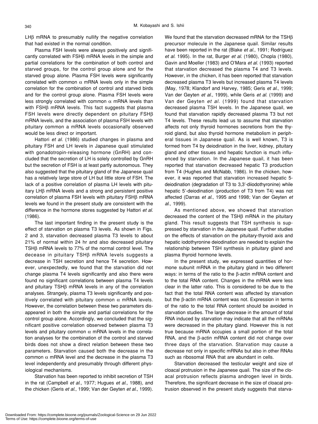LHβ mRNA to presumably nullify the negative correlation that had existed in the normal condition.

Plasma FSH levels were always positively and significantly correlated with FSHβ mRNA levels in the simple and partial correlations for the combination of both control and starved groups, for the control group alone and for the starved group alone. Plasma FSH levels were significantly correlated with common  $\alpha$  mRNA levels only in the simple correlation for the combination of control and starved birds and for the control group alone. Plasma FSH levels were less strongly correlated with common  $\alpha$  mRNA levels than with FSHβ mRNA levels. This fact suggests that plasma FSH levels were directly dependent on pituitary FSHβ mRNA levels, and the association of plasma FSH levels with pituitary common a mRNA levels occasionally observed would be less direct or important.

Hattori *et al*. (1986) studied changes in plasma and pituitary FSH and LH levels in Japanese quail stimulated with gonadotropin-releasing hormone (GnRH) and concluded that the secretion of LH is solely controlled by GnRH but the secretion of FSH is at least partly autonomous. They also suggested that the pituitary gland of the Japanese quail has a relatively large store of LH but little store of FSH. The lack of a positive correlation of plasma LH levels with pituitary LHβ mRNA levels and a strong and persistent positive correlation of plasma FSH levels with pituitary FSHβ mRNA levels we found in the present study are consistent with the difference in the hormone stores suggested by Hattori *et al*. (1986).

The last important finding in the present study is the effect of starvation on plasma T3 levels. As shown in Figs. 2 and 3, starvation decreased plasma T3 levels to about 21% of normal within 24 hr and also decreased pituitary TSHβ mRNA levels to 77% of the normal control level. The decease in pituitary TSHβ mRNA levels suggests a decrease in TSH secretion and hence T4 secretion. However, unexpectedly, we found that the starvation did not change plasma T4 levels significantly and also there were found no significant correlations between plasma T4 levels and pituitary TSHβ mRNA levels in any of the correlation analyses. Strangely, plasma T3 levels significantly and positively correlated with pituitary common  $\alpha$  mRNA levels. However, the correlation between these two parameters disappeared in both the simple and partial correlations for the control group alone. Accordingly, we concluded that the significant positive correlation observed between plasma T3 levels and pituitary common α mRNA levels in the correlation analyses for the combination of the control and starved birds does not show a direct relation between these two parameters. Starvation caused both the decrease in the common α mRNA level and the decrease in the plasma T3 level independently and presumably through different physiological mechanisms.

Starvation has been reported to inhibit secretion of TSH in the rat (Campbell *et al*., 1977; Hugues *et al*., 1988), and the chicken (Geris *et al*., 1999; Van der Geyten *et al*., 1999). We found that the starvation decreased mRNA for the TSHβ precursor molecule in the Japanese quail. Similar results have been reported in the rat (Blake *et al*., 1991; Rodríguez *et al*. 1995). In the rat, Burger *et al*. (1980), Chopla (1980), Gavin and Moeller (1983) and O'Mara *et al*. (1993) reported that starvation decreased the plasma T4 and T3 levels. However, in the chicken, it has been reported that starvation decreased plasma T3 levels but increased plasma T4 levels (May, 1978; Klandorf and Harvey, 1985; Geris *et al*., 1999; Van der Geyten *et al*., 1999), while Geris *et al*. (1999) and Van der Geyten *et al*. (1999) found that starvation decreased plasma TSH levels. In the Japanese quail, we found that starvation rapidly decreased plasma T3 but not T4 levels. These results lead us to assume that starvation affects not only thyroid hormones secretions from the thyroid gland, but also thyroid hormone metabolism in peripheral tissues in Japanese quail. As is well known, T3 is formed from T4 by deiodination in the liver, kidney, pituitary gland and other tissues and hepatic function is much influenced by starvation. In the Japanese quail, it has been reported that starvation decreased hepatic T3 production from T4 (Hughes and McNabb, 1986). In the chicken, however, it was reported that starvation increased hepatic 5 deiodination (degradation of T3 to 3,3'-diiodothyronine) while hepatic 5'-deiodination (production of T3 from T4) was not affected (Darras *et al*., 1995 and 1998; Van der Geyten *et al*., 1999).

As mentioned above, we showed that starvation decreased the content of the TSHβ mRNA in the pituitary gland. This result suggests that TSH synthesis is suppressed by starvation in the Japanese quail. Further studies on the effects of starvation on the pituitary-thyroid axis and hepatic iodothyronine deiodination are needed to explain the relationship between TSH synthesis in pituitary gland and plasma thyroid hormone levels.

In the present study, we expressed quantities of hormone subunit mRNA in the pituitary gland in two different ways: in terms of the ratio to the β-actin mRNA content and to the total RNA content. Changes in the mRNA were less clear in the latter ratio. This is considered to be due to the fact that the total RNA content was affected by starvation but the β-actin mRNA content was not. Expression in terms of the ratio to the total RNA content should be avoided in starvation studies. The large decrease in the amount of total RNA induced by starvation may indicate that all the mRNAs were decreased in the pituitary gland. However this is not true because mRNA occupies a small portion of the total RNA, and the β-actin mRNA content did not change over three days of the starvation. Starvation may cause a decrease not only in specific mRNAs but also in other RNAs such as ribosomal RNA that are abundant in cells.

Starvation decreased the testicular weight and size of cloacal protrusion in the Japanese quail. The size of the cloacal protrusion reflects plasma androgen level in birds. Therefore, the significant decrease in the size of cloacal protrusion observed in the present study suggests that starva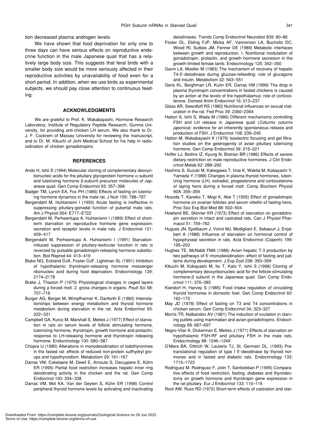tion decreased plasma androgen levels.

We have shown that food deprivation for only one to three days can have serious effects on reproductive endocrine function in the male Japanese quail that has a relatively large body size. This suggests that feral birds with a smaller body size would be more seriously affected in their reproductive activities by unavailability of food even for a short period. In addition, when we use birds as experimental subjects, we should pay close attention to continuous feeding.

#### **ACKNOWLEDGMENTS**

We are grateful to Prof. K. Wakabayashi, Hormone Research Laboratory, Institute of Regulatory Peptide Research, Gunma University, for providing anti-chicken LH serum. We also thank to Dr. J. F. Cockrem of Massey University for reviewing the manuscript, and to Dr. M. Kikuchi of Jichi Medical School for his help in radioiodination of chicken gonadotropins.

#### **REFERENCES**

- Ando H, Ishii S (1994) Molecular cloning of complementary deoxyribonucleic acids for the pituitary glycoprotein hormone  $\alpha$ -subunit and luteinizing hormone β-subunit precursor molecules of Japanese quail. Gen Comp Endocrinol 93: 357–368
- Badger TM, Lynch EA, Fox PH (1985) Effects of fasting on luteinizing hormone dynamics in the male rat. J Nutr 155: 788–797
- Bergendahl M, Huhtaniemi I (1993) Acute fasting is ineffective in suppressing pituitary-gonadal function of pubertal male rats. Am J Physiol 264: E717–E722
- Bergendahl M, Perheentupa A, Huhtaniemi I (1989) Effect of shortterm starvation on reproductive hormone gene expression, secretion and receptor levels in male rats. J Endocrinol 121: 409–417
- Bergendahl M, Perheentupa A, Huhtaniemi I (1991) Starvationinduced suppression of pituitary-testicular function in rats is reversed by pulsatile gonadotropin-releasing hormone substitution. Biol Reprod 44: 413–419
- Blake NG, Eckland DJA, Foster OJF, Lightman SL (1991) Inhibition of hypothalamic thyrotropin-releasing hormone messenger ribonucleic acid during food deprivation. Endocrinology 129: 2174–2178
- Brake J, Thaxton P (1979) Physiological changes in caged layers during a forced molt. 2. gross changes in organs. Poult Sci 58: 707–716
- Burger AG, Berger M, Wimpfheimer K, Danforth E (1980) Interrelationships between energy metabolism and thyroid hormone metabolism during starvation in the rat. Acta Endocrinol 93: 322–331
- Campbell GA, Kurcz M, Marshall S, Meites J (1977) Effect of starvation in rats on serum levels of follicle stimulating hormone, luteinizing hormone, thyrotropin, growth hormone and prolactin; response to LH-releasing hormone and thyrotropin releasing hormone. Endocrinology 100: 580–587
- Chopra IJ (1980) Alterations in monodeiodination of iodothyronines in the fasted rat: effects of reduced non-protein sulfhydryl groups and hypothyroidism. Metabolism 29: 161–167
- Darras VM, Cokelaere M, Dewil E, Arnouts S, Decuypere E, Kühn ER (1995) Partial food restriction increases hepatic inner ring deiodinating activity in the chicken and the rat. Gen Comp Endocrinol 100: 334–338
- Darras VM, Mol KA, Van der Geyten S, Kühn ER (1998) Control peripheral thyroid hormone levels by activating and inactivating

deiodinases. Trends Comp Endocrinol Neurobiol 839: 80–86

- Foster DL, Ebling FJP, Micka AF, Vannerson LA, Bucholtz DC, Wood RI, Sutteie JM, Fenner DE (1989) Metabolic interfaces between growth and reproduction. I. Nutritional modulation of gonadotropin, prolactin, and growth hormone secresion in the growth-limited female lamb. Endocrinology 125: 342–350
- Gavin LA, Moeller M (1983) The mechanism of recovery of hepatic T4-5'-deiodinase during glucose-refeeding: role of glucagons and insulin. Metabolism 32: 543–551
- Geris KL, Berghman LR, Kuhn ER, Darras VM (1999) The drop in plasma thyrotropin concentrations in fasted chickens is caused by an action at the levels of the hypothalamus: role of corticosterone. Domest Anim Endocrinol 16: 213–237
- Glass AR, Swerdloff RS (1980) Nutritional influences on sexual maturation in the rat. Fed Proc 39: 2360–2364
- Hattori A, Ishii S, Wada M (1986) Different mechanisms controlling FSH and LH release in Japanese quail (*Coturnix coturnix japonica*): evidence for an inherently spontaneous release and production of FSH. J Endocrinol 108: 239–245
- Hattori M, Wakabayashi K (1979) Isoelectric focusing and gel filtration studies on the geterogenity of avian pituitary luteinizing hormone. Gen Comp Endocrinol 39: 215–221
- Hoffer LJ, Beitins IZ, Kyung N, Bistrian BR (1986) Effects of severe dietary restriction on male reproductive hormones. J Clin Endocrinol Metab 62: 288–292
- Hoshino S, Suzuki M, Kakegawa T, Imai K, Wakita M, Kobayashi Y, Yamada Y (1988) Changes in plasma thyroid hormones, luteinizing hormone (LH), estradiol, progesterone and corticosterone of laying hens during a forced molt. Comp Biochem Physiol 90A: 355–359
- Hosoda T, Kaneko T, Mogi K, Abe T (1955) Effect of gonadotropic hormone on ovarian follicles and serum vittellin of fasting hens. Proc Soc Exp Biol Med 88: 502–504
- Howland BE, Skinner KR (1973) Effect of starvation on gonadotropin secretion in intact and castrated rats. Can J Physiol Pharmacol 51: 759–762
- Hugues JN, Epelbaum J, Voirol MJ, Modigliani E, Sebaoun J, Enjalbert A (1988) Influence of starvation on hormonal control of hypophyseal secretion in rats. Acta Endocrinol (Copenh) 199: 195–202
- Hughes TE, McNabb FMA (1986) Avian hepatic T-3 production by two pathways of 5'-monodeiodination: effect of fasting and patterns during development. J Exp Zool 238: 393–399
- Kikuchi M, Kobayashi M, Ito T, Kato Y, Ishii S (1998) Cloning of complementary deoxyribonucleic acid for the follicle-stimulating hormone-β subunit in the Japanese quail. Gen Comp Endocrinol 111: 376–385
- Klandorf H, Harvey S (1985) Food intake regulation of circulating thyroid hormones in domestic fowl. Gen Comp Endocrinol 60: 162–170
- May JD (1978) Effect of fasting on T3 and T4 concentrations in chicken serum. Gen Comp Endocrinol 34; 323–327
- Morris TR, Nalbandov AV (1961) The induction of ovulation in starving pullets using mammalian and avian gonadotropins. Endocrinology 68: 687–697
- Negro-Vilar A, Dickerman E, Meites J (1971) Effects of starvation on hypothalamic FSH-RF and pituitary FSH in the male rats. Endocrinology 88: 1246–1249
- O'Mara BA, Dittrich W, Lauterio TJ, St. Germain DL. (1993) Pretranslational regulation of type I 5'-deiodinase by thyroid hormones and in fasted and diabetic rats. Endocrinology 133: 1715–1723
- Rodríguez M, Rodriguez F, Jolin T, Santisteban P (1995) Comparative effects of food restriction, fasting, diabetes and thyroidectomy on growth hormone and thyrotropin gene expression in the rat pituitary. Eur J Endocrinol 133: 110–116
- Root AW, Russ RD (1972) Short-term effects of castration and star-